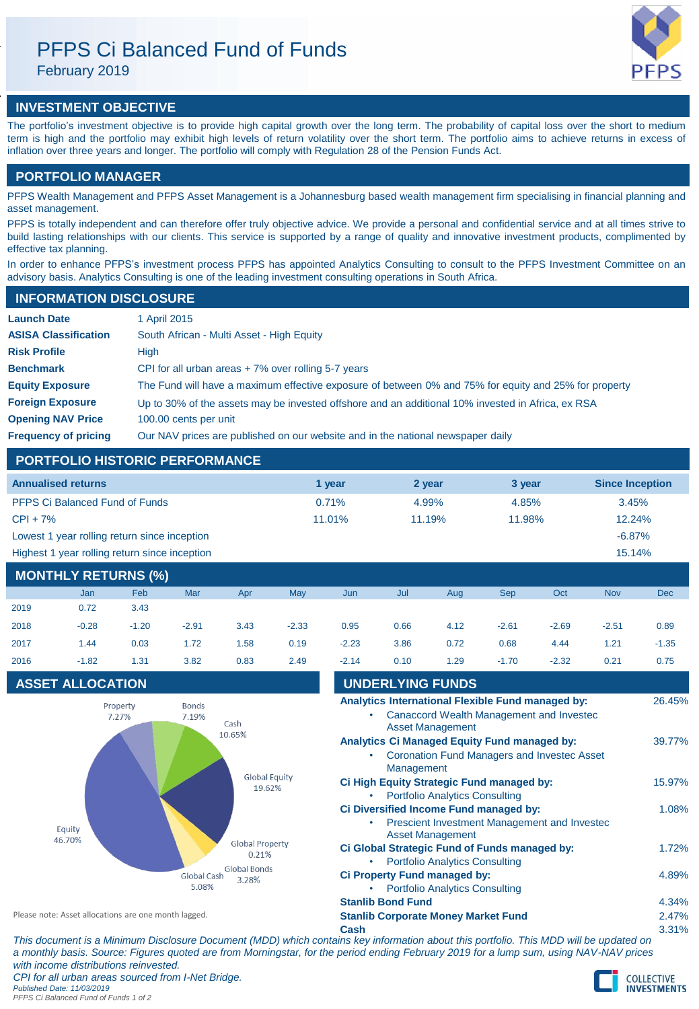# PFPS Ci Balanced Fund of Funds

February 2019

## **INVESTMENT OBJECTIVE**

The portfolio's investment objective is to provide high capital growth over the long term. The probability of capital loss over the short to medium term is high and the portfolio may exhibit high levels of return volatility over the short term. The portfolio aims to achieve returns in excess of inflation over three years and longer. The portfolio will comply with Regulation 28 of the Pension Funds Act.

### **PORTFOLIO MANAGER**

PFPS Wealth Management and PFPS Asset Management is a Johannesburg based wealth management firm specialising in financial planning and asset management.

PFPS is totally independent and can therefore offer truly objective advice. We provide a personal and confidential service and at all times strive to build lasting relationships with our clients. This service is supported by a range of quality and innovative investment products, complimented by effective tax planning.

In order to enhance PFPS's investment process PFPS has appointed Analytics Consulting to consult to the PFPS Investment Committee on an advisory basis. Analytics Consulting is one of the leading investment consulting operations in South Africa.

### **INFORMATION DISCLOSURE**

| <b>Launch Date</b>          | 1 April 2015                                                                                          |
|-----------------------------|-------------------------------------------------------------------------------------------------------|
| <b>ASISA Classification</b> | South African - Multi Asset - High Equity                                                             |
| <b>Risk Profile</b>         | High                                                                                                  |
| <b>Benchmark</b>            | CPI for all urban areas $+7\%$ over rolling 5-7 years                                                 |
| <b>Equity Exposure</b>      | The Fund will have a maximum effective exposure of between 0% and 75% for equity and 25% for property |
| <b>Foreign Exposure</b>     | Up to 30% of the assets may be invested offshore and an additional 10% invested in Africa, ex RSA     |
| <b>Opening NAV Price</b>    | 100.00 cents per unit                                                                                 |
| <b>Frequency of pricing</b> | Our NAV prices are published on our website and in the national newspaper daily                       |

### **PORTFOLIO HISTORIC PERFORMANCE**

| <b>Annualised returns</b>                     | 1 vear    | 2 year | 3 year | <b>Since Inception</b> |
|-----------------------------------------------|-----------|--------|--------|------------------------|
| <b>PFPS Ci Balanced Fund of Funds</b>         | 0.71%     | 4.99%  | 4.85%  | 3.45%                  |
| $CPI + 7%$                                    | $11.01\%$ | 11.19% | 11.98% | 12.24%                 |
| Lowest 1 year rolling return since inception  |           |        |        | $-6.87%$               |
| Highest 1 year rolling return since inception |           |        |        | 15.14%                 |

### **MONTHLY RETURNS (%)**

|      | Jan     | Feb     | Mar     | Apr  | May     | Jun     | Jul  | Aug  | <b>Sep</b> | Oct     | <b>Nov</b> | <b>Dec</b> |
|------|---------|---------|---------|------|---------|---------|------|------|------------|---------|------------|------------|
| 2019 | 0.72    | 3.43    |         |      |         |         |      |      |            |         |            |            |
| 2018 | $-0.28$ | $-1.20$ | $-2.91$ | 3.43 | $-2.33$ | 0.95    | 0.66 | 4.12 | $-2.61$    | $-2.69$ | $-2.51$    | 0.89       |
| 2017 | 1.44    | 0.03    | 1.72    | 1.58 | 0.19    | $-2.23$ | 3.86 | 0.72 | 0.68       | 4.44    | 1.21       | $-1.35$    |
| 2016 | $-1.82$ | 1.31    | 3.82    | 0.83 | 2.49    | $-2.14$ | 0.10 | 1.29 | $-1.70$    | $-2.32$ | 0.21       | 0.75       |

### **ASSET ALLOCATION**



| 2016                                                 | $-1.82$                 | 1.31 | 3.82                                                 | 0.83   | 2.49                                                                  | $-2.14$                                    | 0.10                                  | 1.29                                          | $-1.70$                                                                                            | $-2.32$ | 0.21   | 0.75   |
|------------------------------------------------------|-------------------------|------|------------------------------------------------------|--------|-----------------------------------------------------------------------|--------------------------------------------|---------------------------------------|-----------------------------------------------|----------------------------------------------------------------------------------------------------|---------|--------|--------|
|                                                      | <b>ASSET ALLOCATION</b> |      |                                                      |        |                                                                       |                                            | <b>UNDERLYING FUNDS</b>               |                                               |                                                                                                    |         |        |        |
| <b>Bonds</b><br>Property<br>7.27%<br>7.19%<br>Cash   |                         |      |                                                      |        |                                                                       |                                            |                                       | <b>Asset Management</b>                       | Analytics International Flexible Fund managed by:<br>Canaccord Wealth Management and Invested      |         |        | 26.45% |
|                                                      |                         |      |                                                      | 10.65% |                                                                       |                                            | Management                            |                                               | Analytics Ci Managed Equity Fund managed by:<br><b>Coronation Fund Managers and Invested Asset</b> |         |        | 39.77% |
|                                                      |                         |      | <b>Global Equity</b><br>19.62%                       |        |                                                                       |                                            | <b>Portfolio Analytics Consulting</b> | Ci High Equity Strategic Fund managed by:     |                                                                                                    |         | 15.97% |        |
| Equity<br>46.70%                                     |                         |      |                                                      |        |                                                                       |                                            |                                       | <b>Asset Management</b>                       | Ci Diversified Income Fund managed by:<br>Prescient Investment Management and Invested             |         |        | 1.08%  |
|                                                      |                         |      | <b>Global Property</b><br>0.21%                      |        |                                                                       |                                            | <b>Portfolio Analytics Consulting</b> | Ci Global Strategic Fund of Funds managed by: |                                                                                                    |         | 1.72%  |        |
|                                                      |                         |      | <b>Global Bonds</b><br>Global Cash<br>3.28%<br>5.08% |        | Ci Property Fund managed by:<br><b>Portfolio Analytics Consulting</b> |                                            |                                       |                                               |                                                                                                    |         | 4.89%  |        |
|                                                      |                         |      |                                                      |        |                                                                       | <b>Stanlib Bond Fund</b>                   |                                       |                                               |                                                                                                    |         | 4.34%  |        |
| Please note: Asset allocations are one month lagged. |                         |      |                                                      |        |                                                                       | <b>Stanlib Corporate Money Market Fund</b> |                                       |                                               |                                                                                                    |         | 2.47%  |        |
|                                                      |                         |      |                                                      |        |                                                                       | Cash                                       |                                       |                                               |                                                                                                    |         |        | 3.31%  |
|                                                      |                         |      |                                                      |        |                                                                       |                                            |                                       |                                               |                                                                                                    |         |        |        |

*This document is a Minimum Disclosure Document (MDD) which contains key information about this portfolio. This MDD will be updated on a monthly basis. Source: Figures quoted are from Morningstar, for the period ending February 2019 for a lump sum, using NAV-NAV prices with income distributions reinvested. CPI for all urban areas sourced from I-Net Bridge.*